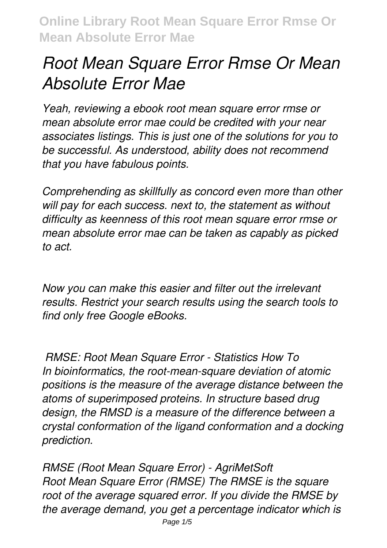# *Root Mean Square Error Rmse Or Mean Absolute Error Mae*

*Yeah, reviewing a ebook root mean square error rmse or mean absolute error mae could be credited with your near associates listings. This is just one of the solutions for you to be successful. As understood, ability does not recommend that you have fabulous points.*

*Comprehending as skillfully as concord even more than other will pay for each success. next to, the statement as without difficulty as keenness of this root mean square error rmse or mean absolute error mae can be taken as capably as picked to act.*

*Now you can make this easier and filter out the irrelevant results. Restrict your search results using the search tools to find only free Google eBooks.* 

*RMSE: Root Mean Square Error - Statistics How To In bioinformatics, the root-mean-square deviation of atomic positions is the measure of the average distance between the atoms of superimposed proteins. In structure based drug design, the RMSD is a measure of the difference between a crystal conformation of the ligand conformation and a docking prediction.*

*RMSE (Root Mean Square Error) - AgriMetSoft Root Mean Square Error (RMSE) The RMSE is the square root of the average squared error. If you divide the RMSE by the average demand, you get a percentage indicator which is*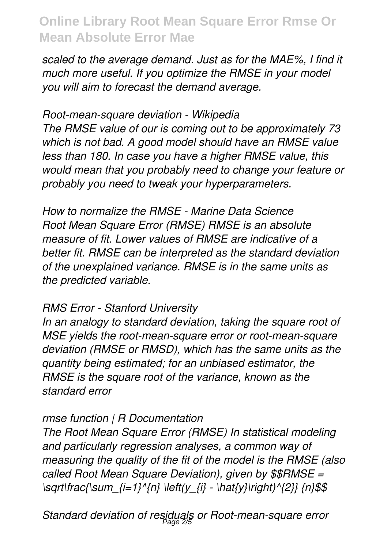*scaled to the average demand. Just as for the MAE%, I find it much more useful. If you optimize the RMSE in your model you will aim to forecast the demand average.*

*Root-mean-square deviation - Wikipedia The RMSE value of our is coming out to be approximately 73 which is not bad. A good model should have an RMSE value less than 180. In case you have a higher RMSE value, this would mean that you probably need to change your feature or probably you need to tweak your hyperparameters.*

*How to normalize the RMSE - Marine Data Science Root Mean Square Error (RMSE) RMSE is an absolute measure of fit. Lower values of RMSE are indicative of a better fit. RMSE can be interpreted as the standard deviation of the unexplained variance. RMSE is in the same units as the predicted variable.*

## *RMS Error - Stanford University*

*In an analogy to standard deviation, taking the square root of MSE yields the root-mean-square error or root-mean-square deviation (RMSE or RMSD), which has the same units as the quantity being estimated; for an unbiased estimator, the RMSE is the square root of the variance, known as the standard error*

## *rmse function | R Documentation*

*The Root Mean Square Error (RMSE) In statistical modeling and particularly regression analyses, a common way of measuring the quality of the fit of the model is the RMSE (also called Root Mean Square Deviation), given by \$\$RMSE = \sqrt\frac{\sum\_{i=1}^{n} \left(y\_{i} - \hat{y}\right)^{2}} {n}\$\$*

*Standard deviation of residuals or Root-mean-square error* Page 2/5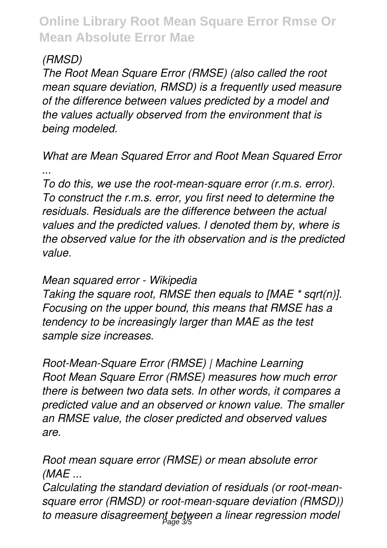## *(RMSD)*

*The Root Mean Square Error (RMSE) (also called the root mean square deviation, RMSD) is a frequently used measure of the difference between values predicted by a model and the values actually observed from the environment that is being modeled.*

## *What are Mean Squared Error and Root Mean Squared Error ...*

*To do this, we use the root-mean-square error (r.m.s. error). To construct the r.m.s. error, you first need to determine the residuals. Residuals are the difference between the actual values and the predicted values. I denoted them by, where is the observed value for the ith observation and is the predicted value.*

#### *Mean squared error - Wikipedia*

*Taking the square root, RMSE then equals to [MAE \* sqrt(n)]. Focusing on the upper bound, this means that RMSE has a tendency to be increasingly larger than MAE as the test sample size increases.*

*Root-Mean-Square Error (RMSE) | Machine Learning Root Mean Square Error (RMSE) measures how much error there is between two data sets. In other words, it compares a predicted value and an observed or known value. The smaller an RMSE value, the closer predicted and observed values are.*

*Root mean square error (RMSE) or mean absolute error (MAE ...*

*Calculating the standard deviation of residuals (or root-meansquare error (RMSD) or root-mean-square deviation (RMSD)) to measure disagreement between a linear regression model* Page 3/5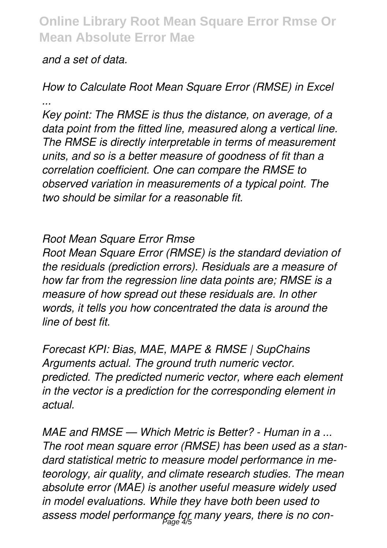#### *and a set of data.*

## *How to Calculate Root Mean Square Error (RMSE) in Excel ...*

*Key point: The RMSE is thus the distance, on average, of a data point from the fitted line, measured along a vertical line. The RMSE is directly interpretable in terms of measurement units, and so is a better measure of goodness of fit than a correlation coefficient. One can compare the RMSE to observed variation in measurements of a typical point. The two should be similar for a reasonable fit.*

#### *Root Mean Square Error Rmse*

*Root Mean Square Error (RMSE) is the standard deviation of the residuals (prediction errors). Residuals are a measure of how far from the regression line data points are; RMSE is a measure of how spread out these residuals are. In other words, it tells you how concentrated the data is around the line of best fit.*

*Forecast KPI: Bias, MAE, MAPE & RMSE | SupChains Arguments actual. The ground truth numeric vector. predicted. The predicted numeric vector, where each element in the vector is a prediction for the corresponding element in actual.*

*MAE and RMSE — Which Metric is Better? - Human in a ... The root mean square error (RMSE) has been used as a standard statistical metric to measure model performance in meteorology, air quality, and climate research studies. The mean absolute error (MAE) is another useful measure widely used in model evaluations. While they have both been used to assess model performance for many years, there is no con-*Page 4/5